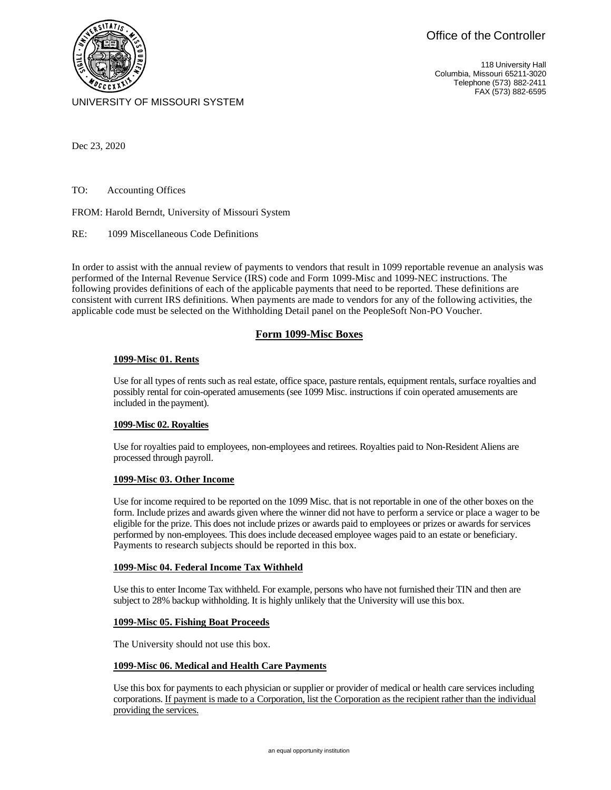118 University Hall Columbia, Missouri 65211-3020 Telephone (573) 882-2411 FAX (573) 882-6595



UNIVERSITY OF MISSOURI SYSTEM

Dec 23, 2020

TO: Accounting Offices

FROM: Harold Berndt, University of Missouri System

RE: 1099 Miscellaneous Code Definitions

In order to assist with the annual review of payments to vendors that result in 1099 reportable revenue an analysis was performed of the Internal Revenue Service (IRS) code and Form 1099-Misc and 1099-NEC instructions. The following provides definitions of each of the applicable payments that need to be reported. These definitions are consistent with current IRS definitions. When payments are made to vendors for any of the following activities, the applicable code must be selected on the Withholding Detail panel on the PeopleSoft Non-PO Voucher.

# **Form 1099-Misc Boxes**

# **1099-Misc 01. Rents**

Use for all types of rents such as real estate, office space, pasture rentals, equipment rentals, surface royalties and possibly rental for coin-operated amusements (see 1099 Misc. instructions if coin operated amusements are included in the payment).

# **1099-Misc 02. Royalties**

Use for royalties paid to employees, non-employees and retirees. Royalties paid to Non-Resident Aliens are processed through payroll.

# **1099-Misc 03. Other Income**

Use for income required to be reported on the 1099 Misc. that is not reportable in one of the other boxes on the form. Include prizes and awards given where the winner did not have to perform a service or place a wager to be eligible for the prize. This does not include prizes or awards paid to employees or prizes or awards for services performed by non-employees. This does include deceased employee wages paid to an estate or beneficiary. Payments to research subjects should be reported in this box.

# **1099-Misc 04. Federal Income Tax Withheld**

Use this to enter Income Tax withheld. For example, persons who have not furnished their TIN and then are subject to 28% backup withholding. It is highly unlikely that the University will use this box.

# **1099-Misc 05. Fishing Boat Proceeds**

The University should not use this box.

# **1099-Misc 06. Medical and Health Care Payments**

Use this box for payments to each physician or supplier or provider of medical or health care services including corporations. If payment is made to a Corporation, list the Corporation as the recipient rather than the individual providing the services.